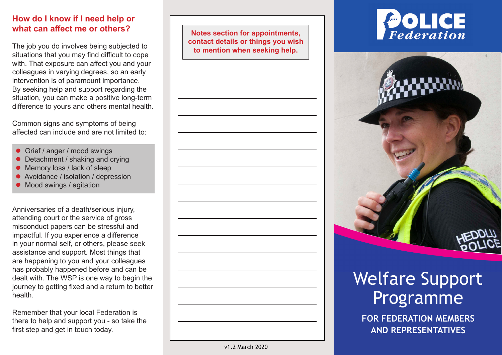#### **How do I know if I need help or what can affect me or others?**

The job you do involves being subjected to situations that you may find difficult to cope with. That exposure can affect you and your colleagues in varying degrees, so an early intervention is of paramount importance. By seeking help and support regarding the situation, you can make a positive long-term difference to yours and others mental health.

Common signs and symptoms of being affected can include and are not limited to:

- Grief / anger / mood swings
- Detachment / shaking and crying
- Memory loss / lack of sleep
- Avoidance / isolation / depression
- $\bullet$  Mood swings / agitation

Anniversaries of a death/serious injury, attending court or the service of gross misconduct papers can be stressful and impactful. If you experience a difference in your normal self, or others, please seek assistance and support. Most things that are happening to you and your colleagues has probably happened before and can be dealt with. The WSP is one way to begin the journey to getting fixed and a return to better health.

Remember that your local Federation is there to help and support you - so take the first step and get in touch today.

**Notes section for appointments, contact details or things you wish to mention when seeking help.**







# Welfare Support Programme

**FOR FEDERATION MEMBERS AND REPRESENTATIVES**

v1.2 March 2020